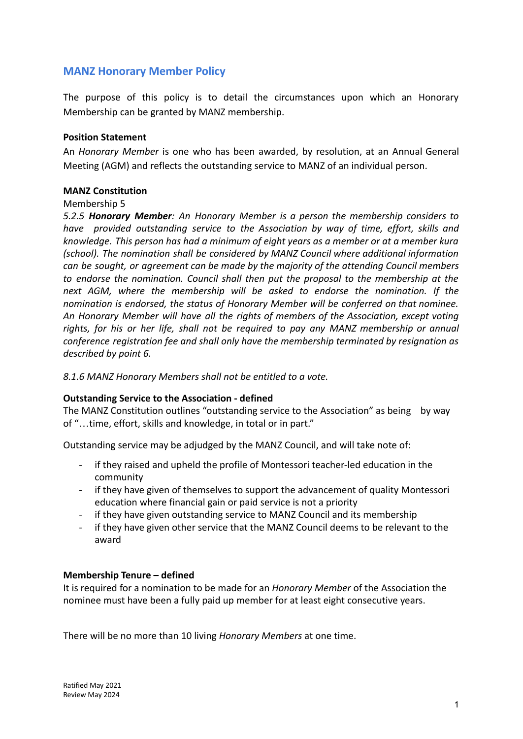# **MANZ Honorary Member Policy**

The purpose of this policy is to detail the circumstances upon which an Honorary Membership can be granted by MANZ membership.

## **Position Statement**

An *Honorary Member* is one who has been awarded, by resolution, at an Annual General Meeting (AGM) and reflects the outstanding service to MANZ of an individual person.

## **MANZ Constitution**

#### Membership 5

*5.2.5 Honorary Member: An Honorary Member is a person the membership considers to have provided outstanding service to the Association by way of time, effort, skills and knowledge. This person has had a minimum of eight years as a member or at a member kura (school). The nomination shall be considered by MANZ Council where additional information can be sought, or agreement can be made by the majority of the attending Council members to endorse the nomination. Council shall then put the proposal to the membership at the next AGM, where the membership will be asked to endorse the nomination. If the nomination is endorsed, the status of Honorary Member will be conferred on that nominee. An Honorary Member will have all the rights of members of the Association, except voting rights, for his or her life, shall not be required to pay any MANZ membership or annual conference registration fee and shall only have the membership terminated by resignation as described by point 6.*

*8.1.6 MANZ Honorary Members shall not be entitled to a vote.*

#### **Outstanding Service to the Association - defined**

The MANZ Constitution outlines "outstanding service to the Association" as being by way of "…time, effort, skills and knowledge, in total or in part."

Outstanding service may be adjudged by the MANZ Council, and will take note of:

- if they raised and upheld the profile of Montessori teacher-led education in the community
- if they have given of themselves to support the advancement of quality Montessori education where financial gain or paid service is not a priority
- if they have given outstanding service to MANZ Council and its membership
- if they have given other service that the MANZ Council deems to be relevant to the award

#### **Membership Tenure – defined**

It is required for a nomination to be made for an *Honorary Member* of the Association the nominee must have been a fully paid up member for at least eight consecutive years.

There will be no more than 10 living *Honorary Members* at one time.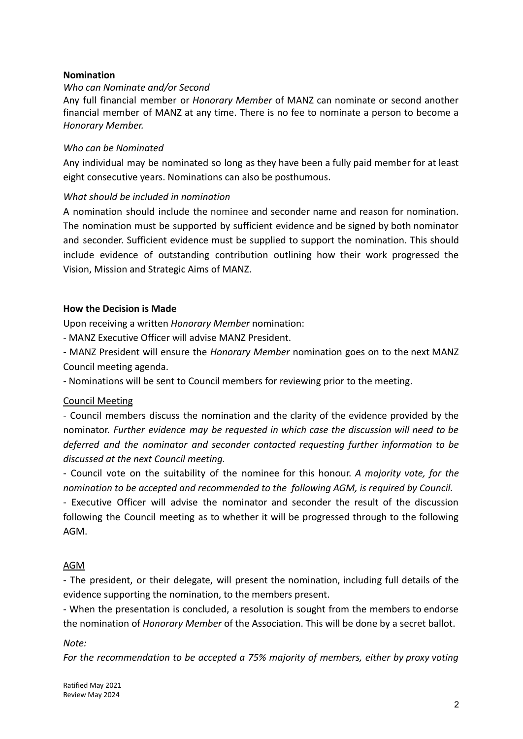## **Nomination**

## *Who can Nominate and/or Second*

Any full financial member or *Honorary Member* of MANZ can nominate or second another financial member of MANZ at any time. There is no fee to nominate a person to become a *Honorary Member.*

#### *Who can be Nominated*

Any individual may be nominated so long as they have been a fully paid member for at least eight consecutive years. Nominations can also be posthumous.

#### *What should be included in nomination*

A nomination should include the nominee and seconder name and reason for nomination. The nomination must be supported by sufficient evidence and be signed by both nominator and seconder. Sufficient evidence must be supplied to support the nomination. This should include evidence of outstanding contribution outlining how their work progressed the Vision, Mission and Strategic Aims of MANZ.

#### **How the Decision is Made**

Upon receiving a written *Honorary Member* nomination:

- MANZ Executive Officer will advise MANZ President.

- MANZ President will ensure the *Honorary Member* nomination goes on to the next MANZ Council meeting agenda.

- Nominations will be sent to Council members for reviewing prior to the meeting.

#### Council Meeting

- Council members discuss the nomination and the clarity of the evidence provided by the nominator. *Further evidence may be requested in which case the discussion will need to be deferred and the nominator and seconder contacted requesting further information to be discussed at the next Council meeting.*

- Council vote on the suitability of the nominee for this honour. *A majority vote, for the nomination to be accepted and recommended to the following AGM, is required by Council.*

- Executive Officer will advise the nominator and seconder the result of the discussion following the Council meeting as to whether it will be progressed through to the following AGM.

#### AGM

- The president, or their delegate, will present the nomination, including full details of the evidence supporting the nomination, to the members present.

- When the presentation is concluded, a resolution is sought from the members to endorse the nomination of *Honorary Member* of the Association. This will be done by a secret ballot.

*Note:*

*For the recommendation to be accepted a 75% majority of members, either by proxy voting*